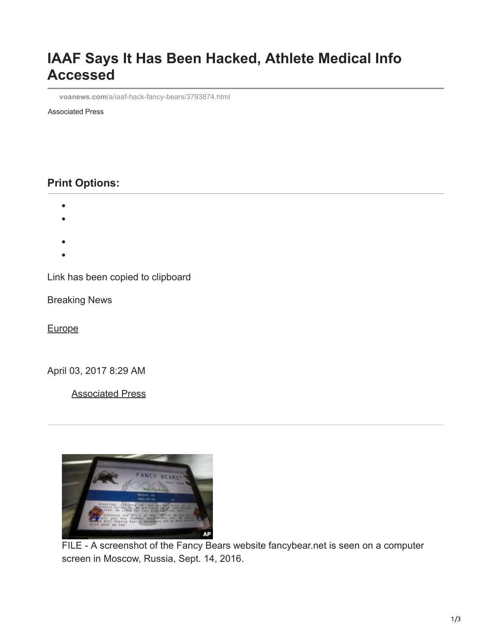## **IAAF Says It Has Been Hacked, Athlete Medical Info Accessed**

**voanews.com**[/a/iaaf-hack-fancy-bears/3793874.html](https://www.voanews.com/a/iaaf-hack-fancy-bears/3793874.html)

Associated Press

## **Print Options:**

- 
- 
- 
- 

Link has been copied to clipboard

Breaking News

**[Europe](https://www.voanews.com/z/611)** 

April 03, 2017 8:29 AM

[Associated Press](https://www.voanews.com/author/associated-press/j_-yt)



FILE - A screenshot of the Fancy Bears website fancybear.net is seen on a computer screen in Moscow, Russia, Sept. 14, 2016.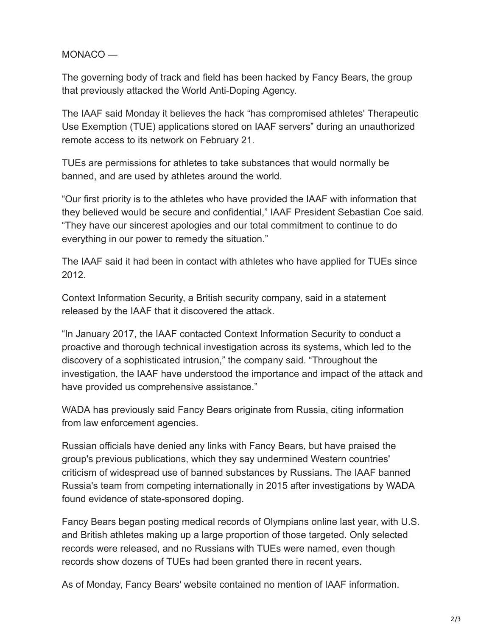MONACO —

The governing body of track and field has been hacked by Fancy Bears, the group that previously attacked the World Anti-Doping Agency.

The IAAF said Monday it believes the hack "has compromised athletes' Therapeutic Use Exemption (TUE) applications stored on IAAF servers" during an unauthorized remote access to its network on February 21.

TUEs are permissions for athletes to take substances that would normally be banned, and are used by athletes around the world.

"Our first priority is to the athletes who have provided the IAAF with information that they believed would be secure and confidential," IAAF President Sebastian Coe said. "They have our sincerest apologies and our total commitment to continue to do everything in our power to remedy the situation."

The IAAF said it had been in contact with athletes who have applied for TUEs since 2012.

Context Information Security, a British security company, said in a statement released by the IAAF that it discovered the attack.

"In January 2017, the IAAF contacted Context Information Security to conduct a proactive and thorough technical investigation across its systems, which led to the discovery of a sophisticated intrusion," the company said. "Throughout the investigation, the IAAF have understood the importance and impact of the attack and have provided us comprehensive assistance."

WADA has previously said Fancy Bears originate from Russia, citing information from law enforcement agencies.

Russian officials have denied any links with Fancy Bears, but have praised the group's previous publications, which they say undermined Western countries' criticism of widespread use of banned substances by Russians. The IAAF banned Russia's team from competing internationally in 2015 after investigations by WADA found evidence of state-sponsored doping.

Fancy Bears began posting medical records of Olympians online last year, with U.S. and British athletes making up a large proportion of those targeted. Only selected records were released, and no Russians with TUEs were named, even though records show dozens of TUEs had been granted there in recent years.

As of Monday, Fancy Bears' website contained no mention of IAAF information.